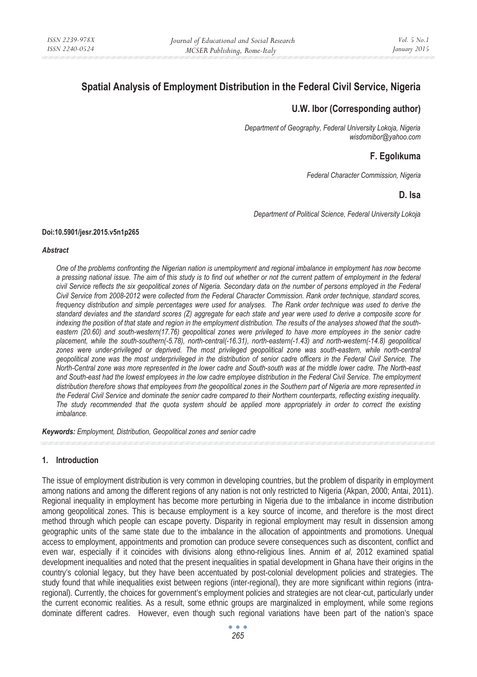# **Spatial Analysis of Employment Distribution in the Federal Civil Service, Nigeria**

# **U.W. Ibor (Corresponding author)**

*Department of Geography, Federal University Lokoja, Nigeria wisdomibor@yahoo.com* 

# **F. EgolÖkuma**

*Federal Character Commission, Nigeria* 

## **D. Isa**

*Department of Political Science, Federal University Lokoja* 

#### **Doi:10.5901/jesr.2015.v5n1p265**

#### *Abstract*

*One of the problems confronting the Nigerian nation is unemployment and regional imbalance in employment has now become a pressing national issue. The aim of this study is to find out whether or not the current pattern of employment in the federal civil Service reflects the six geopolitical zones of Nigeria. Secondary data on the number of persons employed in the Federal Civil Service from 2008-2012 were collected from the Federal Character Commission. Rank order technique, standard scores, frequency distribution and simple percentages were used for analyses. The Rank order technique was used to derive the standard deviates and the standard scores (Z) aggregate for each state and year were used to derive a composite score for indexing the position of that state and region in the employment distribution. The results of the analyses showed that the south*eastern (20.60) and south-western(17.76) geopolitical zones were privileged to have more employees in the senior cadre *placement, while the south-southern(-5.78), north-central(-16.31), north-eastern(-1.43) and north-western(-14.8) geopolitical*  zones were under-privileged or deprived. The most privileged geopolitical zone was south-eastern, while north-central *geopolitical zone was the most underprivileged in the distribution of senior cadre officers in the Federal Civil Service. The North-Central zone was more represented in the lower cadre and South-south was at the middle lower cadre. The North-east*  and South-east had the lowest employees in the low cadre employee distribution in the Federal Civil Service. The employment *distribution therefore shows that employees from the geopolitical zones in the Southern part of Nigeria are more represented in the Federal Civil Service and dominate the senior cadre compared to their Northern counterparts, reflecting existing inequality. The study recommended that the quota system should be applied more appropriately in order to correct the existing imbalance.* 

*Keywords: Employment, Distribution, Geopolitical zones and senior cadre* 

## **1. Introduction**

The issue of employment distribution is very common in developing countries, but the problem of disparity in employment among nations and among the different regions of any nation is not only restricted to Nigeria (Akpan, 2000; Antai, 2011). Regional inequality in employment has become more perturbing in Nigeria due to the imbalance in income distribution among geopolitical zones. This is because employment is a key source of income, and therefore is the most direct method through which people can escape poverty. Disparity in regional employment may result in dissension among geographic units of the same state due to the imbalance in the allocation of appointments and promotions. Unequal access to employment, appointments and promotion can produce severe consequences such as discontent, conflict and even war, especially if it coincides with divisions along ethno-religious lines. Annim *et al*, 2012 examined spatial development inequalities and noted that the present inequalities in spatial development in Ghana have their origins in the country's colonial legacy, but they have been accentuated by post-colonial development policies and strategies. The study found that while inequalities exist between regions (inter-regional), they are more significant within regions (intraregional). Currently, the choices for government's employment policies and strategies are not clear-cut, particularly under the current economic realities. As a result, some ethnic groups are marginalized in employment, while some regions dominate different cadres. However, even though such regional variations have been part of the nation's space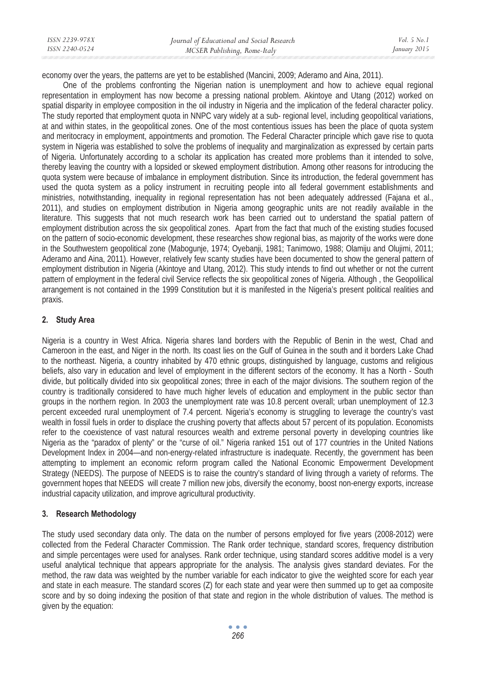| ISSN 2239-978X | Journal of Educational and Social Research | <i>Vol.</i> 5 $No.1$ |
|----------------|--------------------------------------------|----------------------|
| ISSN 2240-0524 | MCSER Publishing, Rome-Italy               | January 2015         |
|                |                                            |                      |

economy over the years, the patterns are yet to be established (Mancini, 2009; Aderamo and Aina, 2011).

One of the problems confronting the Nigerian nation is unemployment and how to achieve equal regional representation in employment has now become a pressing national problem. Akintoye and Utang (2012) worked on spatial disparity in employee composition in the oil industry in Nigeria and the implication of the federal character policy. The study reported that employment quota in NNPC vary widely at a sub- regional level, including geopolitical variations, at and within states, in the geopolitical zones. One of the most contentious issues has been the place of quota system and meritocracy in employment, appointments and promotion. The Federal Character principle which gave rise to quota system in Nigeria was established to solve the problems of inequality and marginalization as expressed by certain parts of Nigeria. Unfortunately according to a scholar its application has created more problems than it intended to solve, thereby leaving the country with a lopsided or skewed employment distribution. Among other reasons for introducing the quota system were because of imbalance in employment distribution. Since its introduction, the federal government has used the quota system as a policy instrument in recruiting people into all federal government establishments and ministries, notwithstanding, inequality in regional representation has not been adequately addressed (Fajana et al., 2011), and studies on employment distribution in Nigeria among geographic units are not readily available in the literature. This suggests that not much research work has been carried out to understand the spatial pattern of employment distribution across the six geopolitical zones. Apart from the fact that much of the existing studies focused on the pattern of socio-economic development, these researches show regional bias, as majority of the works were done in the Southwestern geopolitical zone (Mabogunje, 1974; Oyebanji, 1981; Tanimowo, 1988; Olamiju and Olujimi, 2011; Aderamo and Aina, 2011). However, relatively few scanty studies have been documented to show the general pattern of employment distribution in Nigeria (Akintoye and Utang, 2012). This study intends to find out whether or not the current pattern of employment in the federal civil Service reflects the six geopolitical zones of Nigeria. Although , the Geopolilical arrangement is not contained in the 1999 Constitution but it is manifested in the Nigeria's present political realities and praxis.

# **2. Study Area**

Nigeria is a country in West Africa. Nigeria shares land borders with the Republic of Benin in the west, Chad and Cameroon in the east, and Niger in the north. Its coast lies on the Gulf of Guinea in the south and it borders Lake Chad to the northeast. Nigeria, a country inhabited by 470 ethnic groups, distinguished by language, customs and religious beliefs, also vary in education and level of employment in the different sectors of the economy. It has a North - South divide, but politically divided into six geopolitical zones; three in each of the major divisions. The southern region of the country is traditionally considered to have much higher levels of education and employment in the public sector than groups in the northern region. In 2003 the unemployment rate was 10.8 percent overall; urban unemployment of 12.3 percent exceeded rural unemployment of 7.4 percent. Nigeria's economy is struggling to leverage the country's vast wealth in fossil fuels in order to displace the crushing poverty that affects about 57 percent of its population. Economists refer to the coexistence of vast natural resources wealth and extreme personal poverty in developing countries like Nigeria as the "paradox of plenty" or the "curse of oil." Nigeria ranked 151 out of 177 countries in the United Nations Development Index in 2004—and non-energy-related infrastructure is inadequate. Recently, the government has been attempting to implement an economic reform program called the National Economic Empowerment Development Strategy (NEEDS). The purpose of NEEDS is to raise the country's standard of living through a variety of reforms. The government hopes that NEEDS will create 7 million new jobs, diversify the economy, boost non-energy exports, increase industrial capacity utilization, and improve agricultural productivity.

# **3. Research Methodology**

The study used secondary data only. The data on the number of persons employed for five years (2008-2012) were collected from the Federal Character Commission. The Rank order technique, standard scores, frequency distribution and simple percentages were used for analyses. Rank order technique, using standard scores additive model is a very useful analytical technique that appears appropriate for the analysis. The analysis gives standard deviates. For the method, the raw data was weighted by the number variable for each indicator to give the weighted score for each year and state in each measure. The standard scores (Z) for each state and year were then summed up to get aa composite score and by so doing indexing the position of that state and region in the whole distribution of values. The method is given by the equation: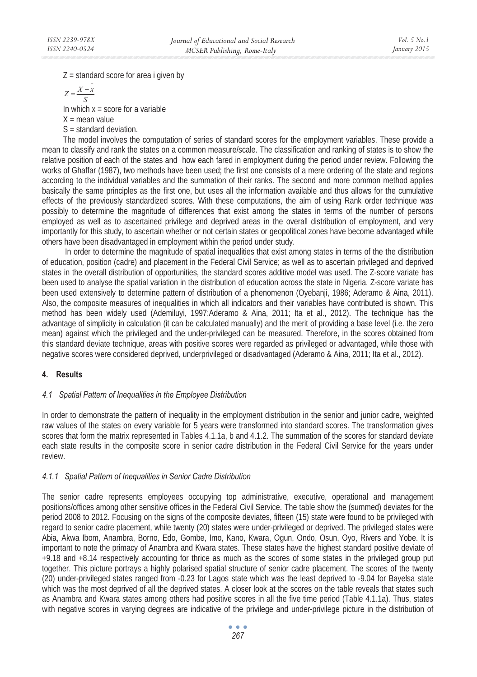$Z =$  standard score for area i given by

$$
Z = \frac{X - \bar{x}}{S}
$$

In which  $x =$  score for a variable

 $X =$  mean value

 $S =$  standard deviation.

The model involves the computation of series of standard scores for the employment variables. These provide a mean to classify and rank the states on a common measure/scale. The classification and ranking of states is to show the relative position of each of the states and how each fared in employment during the period under review. Following the works of Ghaffar (1987), two methods have been used; the first one consists of a mere ordering of the state and regions according to the individual variables and the summation of their ranks. The second and more common method applies basically the same principles as the first one, but uses all the information available and thus allows for the cumulative effects of the previously standardized scores. With these computations, the aim of using Rank order technique was possibly to determine the magnitude of differences that exist among the states in terms of the number of persons employed as well as to ascertained privilege and deprived areas in the overall distribution of employment, and very importantly for this study, to ascertain whether or not certain states or geopolitical zones have become advantaged while others have been disadvantaged in employment within the period under study.

 In order to determine the magnitude of spatial inequalities that exist among states in terms of the the distribution of education, position (cadre) and placement in the Federal Civil Service; as well as to ascertain privileged and deprived states in the overall distribution of opportunities, the standard scores additive model was used. The Z-score variate has been used to analyse the spatial variation in the distribution of education across the state in Nigeria. Z-score variate has been used extensively to determine pattern of distribution of a phenomenon (Oyebanji, 1986; Aderamo & Aina, 2011). Also, the composite measures of inequalities in which all indicators and their variables have contributed is shown. This method has been widely used (Ademiluyi, 1997;Aderamo & Aina, 2011; Ita et al., 2012). The technique has the advantage of simplicity in calculation (it can be calculated manually) and the merit of providing a base level (i.e. the zero mean) against which the privileged and the under-privileged can be measured. Therefore, in the scores obtained from this standard deviate technique, areas with positive scores were regarded as privileged or advantaged, while those with negative scores were considered deprived, underprivileged or disadvantaged (Aderamo & Aina, 2011; Ita et al., 2012).

# **4. Results**

## *4.1 Spatial Pattern of Inequalities in the Employee Distribution*

In order to demonstrate the pattern of inequality in the employment distribution in the senior and junior cadre, weighted raw values of the states on every variable for 5 years were transformed into standard scores. The transformation gives scores that form the matrix represented in Tables 4.1.1a, b and 4.1.2. The summation of the scores for standard deviate each state results in the composite score in senior cadre distribution in the Federal Civil Service for the years under review.

# *4.1.1 Spatial Pattern of Inequalities in Senior Cadre Distribution*

The senior cadre represents employees occupying top administrative, executive, operational and management positions/offices among other sensitive offices in the Federal Civil Service. The table show the (summed) deviates for the period 2008 to 2012. Focusing on the signs of the composite deviates, fifteen (15) state were found to be privileged with regard to senior cadre placement, while twenty (20) states were under-privileged or deprived. The privileged states were Abia, Akwa Ibom, Anambra, Borno, Edo, Gombe, Imo, Kano, Kwara, Ogun, Ondo, Osun, Oyo, Rivers and Yobe. It is important to note the primacy of Anambra and Kwara states. These states have the highest standard positive deviate of +9.18 and +8.14 respectively accounting for thrice as much as the scores of some states in the privileged group put together. This picture portrays a highly polarised spatial structure of senior cadre placement. The scores of the twenty (20) under-privileged states ranged from -0.23 for Lagos state which was the least deprived to -9.04 for Bayelsa state which was the most deprived of all the deprived states. A closer look at the scores on the table reveals that states such as Anambra and Kwara states among others had positive scores in all the five time period (Table 4.1.1a). Thus, states with negative scores in varying degrees are indicative of the privilege and under-privilege picture in the distribution of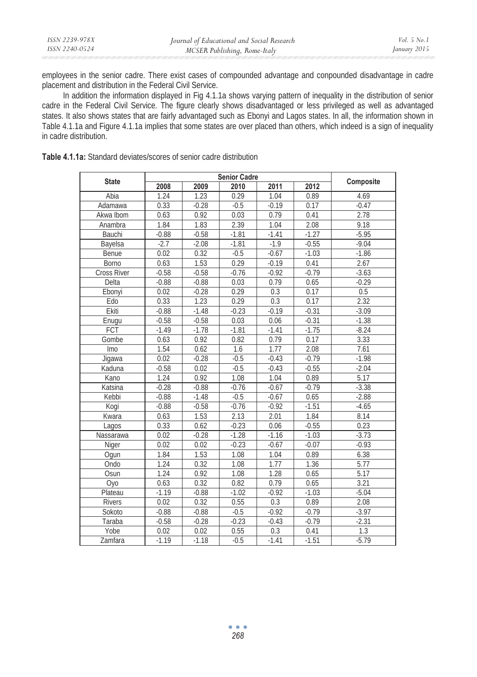| ISSN 2240-0524<br>MCSER Publishing, Rome-Italy | January 2015 |
|------------------------------------------------|--------------|

employees in the senior cadre. There exist cases of compounded advantage and conpounded disadvantage in cadre placement and distribution in the Federal Civil Service.

In addition the information displayed in Fig 4.1.1a shows varying pattern of inequality in the distribution of senior cadre in the Federal Civil Service. The figure clearly shows disadvantaged or less privileged as well as advantaged states. It also shows states that are fairly advantaged such as Ebonyi and Lagos states. In all, the information shown in Table 4.1.1a and Figure 4.1.1a implies that some states are over placed than others, which indeed is a sign of inequality in cadre distribution.

| <b>Table 4.1.1a:</b> Standard deviates/scores of senior cadre distribution |  |  |
|----------------------------------------------------------------------------|--|--|
|----------------------------------------------------------------------------|--|--|

| <b>State</b>       | <b>Senior Cadre</b> |         |         |         |         |           |
|--------------------|---------------------|---------|---------|---------|---------|-----------|
|                    | 2008                | 2009    | 2010    | 2011    | 2012    | Composite |
| Abia               | 1.24                | 1.23    | 0.29    | 1.04    | 0.89    | 4.69      |
| Adamawa            | 0.33                | $-0.28$ | $-0.5$  | $-0.19$ | 0.17    | $-0.47$   |
| Akwa Ibom          | 0.63                | 0.92    | 0.03    | 0.79    | 0.41    | 2.78      |
| Anambra            | 1.84                | 1.83    | 2.39    | 1.04    | 2.08    | 9.18      |
| Bauchi             | $-0.88$             | $-0.58$ | $-1.81$ | $-1.41$ | $-1.27$ | $-5.95$   |
| Bayelsa            | $-2.7$              | $-2.08$ | $-1.81$ | $-1.9$  | $-0.55$ | $-9.04$   |
| Benue              | 0.02                | 0.32    | $-0.5$  | $-0.67$ | $-1.03$ | $-1.86$   |
| Borno              | 0.63                | 1.53    | 0.29    | $-0.19$ | 0.41    | 2.67      |
| <b>Cross River</b> | $-0.58$             | $-0.58$ | $-0.76$ | $-0.92$ | $-0.79$ | $-3.63$   |
| Delta              | $-0.88$             | $-0.88$ | 0.03    | 0.79    | 0.65    | $-0.29$   |
| Ebonyi             | 0.02                | $-0.28$ | 0.29    | 0.3     | 0.17    | 0.5       |
| Edo                | 0.33                | 1.23    | 0.29    | 0.3     | 0.17    | 2.32      |
| Ekiti              | $-0.88$             | $-1.48$ | $-0.23$ | $-0.19$ | $-0.31$ | $-3.09$   |
| Enugu              | $-0.58$             | $-0.58$ | 0.03    | 0.06    | $-0.31$ | $-1.38$   |
| FCT                | $-1.49$             | $-1.78$ | $-1.81$ | $-1.41$ | $-1.75$ | $-8.24$   |
| Gombe              | 0.63                | 0.92    | 0.82    | 0.79    | 0.17    | 3.33      |
| Imo                | 1.54                | 0.62    | 1.6     | 1.77    | 2.08    | 7.61      |
| Jiqawa             | 0.02                | $-0.28$ | $-0.5$  | $-0.43$ | $-0.79$ | $-1.98$   |
| Kaduna             | $-0.58$             | 0.02    | $-0.5$  | $-0.43$ | $-0.55$ | $-2.04$   |
| Kano               | 1.24                | 0.92    | 1.08    | 1.04    | 0.89    | 5.17      |
| Katsina            | $-0.28$             | $-0.88$ | $-0.76$ | $-0.67$ | $-0.79$ | $-3.38$   |
| Kebbi              | $-0.88$             | $-1.48$ | $-0.5$  | $-0.67$ | 0.65    | $-2.88$   |
| Kogi               | $-0.88$             | $-0.58$ | $-0.76$ | $-0.92$ | $-1.51$ | $-4.65$   |
| Kwara              | 0.63                | 1.53    | 2.13    | 2.01    | 1.84    | 8.14      |
| Lagos              | 0.33                | 0.62    | $-0.23$ | 0.06    | $-0.55$ | 0.23      |
| Nassarawa          | 0.02                | $-0.28$ | $-1.28$ | $-1.16$ | $-1.03$ | $-3.73$   |
| Niger              | 0.02                | 0.02    | $-0.23$ | $-0.67$ | $-0.07$ | $-0.93$   |
| Oqun               | 1.84                | 1.53    | 1.08    | 1.04    | 0.89    | 6.38      |
| Ondo               | 1.24                | 0.32    | 1.08    | 1.77    | 1.36    | 5.77      |
| Osun               | 1.24                | 0.92    | 1.08    | 1.28    | 0.65    | 5.17      |
| Oyo                | 0.63                | 0.32    | 0.82    | 0.79    | 0.65    | 3.21      |
| Plateau            | $-1.19$             | $-0.88$ | $-1.02$ | $-0.92$ | $-1.03$ | $-5.04$   |
| <b>Rivers</b>      | 0.02                | 0.32    | 0.55    | 0.3     | 0.89    | 2.08      |
| Sokoto             | $-0.88$             | $-0.88$ | $-0.5$  | $-0.92$ | $-0.79$ | $-3.97$   |
| Taraba             | $-0.58$             | $-0.28$ | $-0.23$ | $-0.43$ | $-0.79$ | $-2.31$   |
| Yobe               | 0.02                | 0.02    | 0.55    | 0.3     | 0.41    | 1.3       |
| Zamfara            | $-1.19$             | $-1.18$ | $-0.5$  | $-1.41$ | $-1.51$ | $-5.79$   |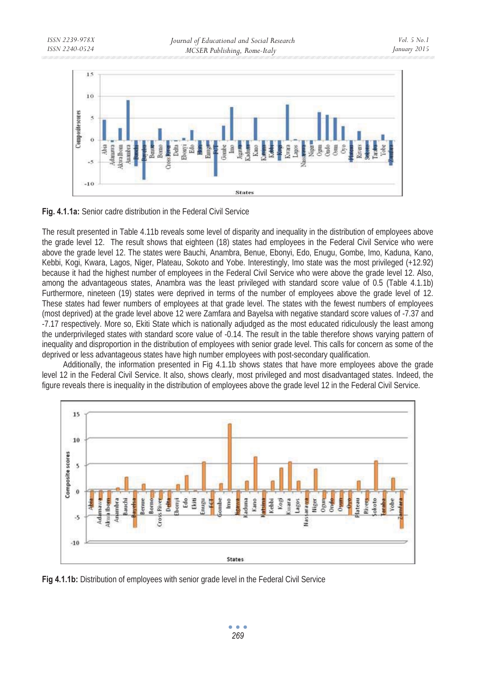

**Fig. 4.1.1a:** Senior cadre distribution in the Federal Civil Service

The result presented in Table 4.11b reveals some level of disparity and inequality in the distribution of employees above the grade level 12. The result shows that eighteen (18) states had employees in the Federal Civil Service who were above the grade level 12. The states were Bauchi, Anambra, Benue, Ebonyi, Edo, Enugu, Gombe, Imo, Kaduna, Kano, Kebbi, Kogi, Kwara, Lagos, Niger, Plateau, Sokoto and Yobe. Interestingly, Imo state was the most privileged (+12.92) because it had the highest number of employees in the Federal Civil Service who were above the grade level 12. Also, among the advantageous states, Anambra was the least privileged with standard score value of 0.5 (Table 4.1.1b) Furthermore, nineteen (19) states were deprived in terms of the number of employees above the grade level of 12. These states had fewer numbers of employees at that grade level. The states with the fewest numbers of employees (most deprived) at the grade level above 12 were Zamfara and Bayelsa with negative standard score values of -7.37 and -7.17 respectively. More so, Ekiti State which is nationally adjudged as the most educated ridiculously the least among the underprivileged states with standard score value of -0.14. The result in the table therefore shows varying pattern of inequality and disproportion in the distribution of employees with senior grade level. This calls for concern as some of the deprived or less advantageous states have high number employees with post-secondary qualification.

Additionally, the information presented in Fig 4.1.1b shows states that have more employees above the grade level 12 in the Federal Civil Service. It also, shows clearly, most privileged and most disadvantaged states. Indeed, the figure reveals there is inequality in the distribution of employees above the grade level 12 in the Federal Civil Service.



**Fig 4.1.1b:** Distribution of employees with senior grade level in the Federal Civil Service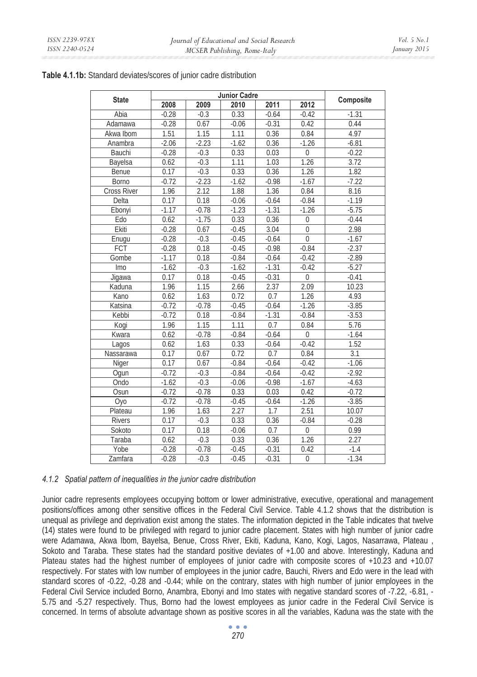| Table 4.1.1b: Standard deviates/scores of junior cadre distribution |  |
|---------------------------------------------------------------------|--|
|---------------------------------------------------------------------|--|

|                    | <b>Junior Cadre</b> |                   |         |         |                  |           |
|--------------------|---------------------|-------------------|---------|---------|------------------|-----------|
| <b>State</b>       | 2008                | $\overline{2009}$ | 2010    | 2011    | 2012             | Composite |
| Abia               | $-0.28$             | $-0.3$            | 0.33    | $-0.64$ | $-0.42$          | $-1.31$   |
| Adamawa            | $-0.28$             | 0.67              | $-0.06$ | $-0.31$ | 0.42             | 0.44      |
| Akwa Ibom          | 1.51                | 1.15              | 1.11    | 0.36    | 0.84             | 4.97      |
| Anambra            | $-2.06$             | $-2.23$           | $-1.62$ | 0.36    | $-1.26$          | $-6.81$   |
| Bauchi             | $-0.28$             | $-0.3$            | 0.33    | 0.03    | $\mathbf 0$      | $-0.22$   |
| Bayelsa            | 0.62                | $-0.3$            | 1.11    | 1.03    | 1.26             | 3.72      |
| Benue              | 0.17                | $-0.3$            | 0.33    | 0.36    | 1.26             | 1.82      |
| Borno              | $-0.72$             | $-2.23$           | $-1.62$ | $-0.98$ | $-1.67$          | $-7.22$   |
| <b>Cross River</b> | 1.96                | 2.12              | 1.88    | 1.36    | 0.84             | 8.16      |
| Delta              | 0.17                | 0.18              | $-0.06$ | $-0.64$ | $-0.84$          | $-1.19$   |
| Ebonvi             | $-1.17$             | $-0.78$           | $-1.23$ | $-1.31$ | $-1.26$          | $-5.75$   |
| Edo                | 0.62                | $-1.75$           | 0.33    | 0.36    | $\mathbf 0$      | $-0.44$   |
| Ekiti              | $-0.28$             | 0.67              | $-0.45$ | 3.04    | $\mathbf 0$      | 2.98      |
| Enugu              | $-0.28$             | $-0.3$            | $-0.45$ | $-0.64$ | $\overline{0}$   | $-1.67$   |
| FCT                | $-0.28$             | 0.18              | $-0.45$ | $-0.98$ | $-0.84$          | $-2.37$   |
| Gombe              | $-1.17$             | 0.18              | $-0.84$ | $-0.64$ | $-0.42$          | $-2.89$   |
| <b>Imo</b>         | $-1.62$             | $-0.3$            | $-1.62$ | $-1.31$ | $-0.42$          | $-5.27$   |
| Jigawa             | 0.17                | 0.18              | $-0.45$ | $-0.31$ | $\Omega$         | $-0.41$   |
| Kaduna             | 1.96                | 1.15              | 2.66    | 2.37    | 2.09             | 10.23     |
| Kano               | 0.62                | 1.63              | 0.72    | 0.7     | 1.26             | 4.93      |
| Katsina            | $-0.72$             | $-0.78$           | $-0.45$ | $-0.64$ | $-1.26$          | $-3.85$   |
| Kebbi              | $-0.72$             | 0.18              | $-0.84$ | $-1.31$ | $-0.84$          | $-3.53$   |
| Kogi               | 1.96                | 1.15              | 1.11    | 0.7     | 0.84             | 5.76      |
| Kwara              | 0.62                | $-0.78$           | $-0.84$ | $-0.64$ | $\boldsymbol{0}$ | $-1.64$   |
| Lagos              | 0.62                | 1.63              | 0.33    | $-0.64$ | $-0.42$          | 1.52      |
| Nassarawa          | 0.17                | 0.67              | 0.72    | 0.7     | 0.84             | 3.1       |
| Niger              | 0.17                | 0.67              | $-0.84$ | $-0.64$ | $-0.42$          | $-1.06$   |
| Oqun               | $-0.72$             | $-0.3$            | $-0.84$ | $-0.64$ | $-0.42$          | $-2.92$   |
| Ondo               | $-1.62$             | $-0.3$            | $-0.06$ | $-0.98$ | $-1.67$          | $-4.63$   |
| Osun               | $-0.72$             | $-0.78$           | 0.33    | 0.03    | 0.42             | $-0.72$   |
| Оуо                | $-0.72$             | $-0.78$           | $-0.45$ | $-0.64$ | $-1.26$          | $-3.85$   |
| Plateau            | 1.96                | 1.63              | 2.27    | 1.7     | 2.51             | 10.07     |
| <b>Rivers</b>      | 0.17                | $-0.3$            | 0.33    | 0.36    | $-0.84$          | $-0.28$   |
| Sokoto             | 0.17                | 0.18              | $-0.06$ | 0.7     | $\overline{0}$   | 0.99      |
| Taraba             | 0.62                | $-0.3$            | 0.33    | 0.36    | 1.26             | 2.27      |
| Yobe               | $-0.28$             | $-0.78$           | $-0.45$ | $-0.31$ | 0.42             | $-1.4$    |
| Zamfara            | $-0.28$             | $-0.3$            | $-0.45$ | $-0.31$ | $\boldsymbol{0}$ | $-1.34$   |

## *4.1.2 Spatial pattern of inequalities in the junior cadre distribution*

Junior cadre represents employees occupying bottom or lower administrative, executive, operational and management positions/offices among other sensitive offices in the Federal Civil Service. Table 4.1.2 shows that the distribution is unequal as privilege and deprivation exist among the states. The information depicted in the Table indicates that twelve (14) states were found to be privileged with regard to junior cadre placement. States with high number of junior cadre were Adamawa, Akwa Ibom, Bayelsa, Benue, Cross River, Ekiti, Kaduna, Kano, Kogi, Lagos, Nasarrawa, Plateau , Sokoto and Taraba. These states had the standard positive deviates of +1.00 and above. Interestingly, Kaduna and Plateau states had the highest number of employees of junior cadre with composite scores of +10.23 and +10.07 respectively. For states with low number of employees in the junior cadre, Bauchi, Rivers and Edo were in the lead with standard scores of -0.22, -0.28 and -0.44; while on the contrary, states with high number of junior employees in the Federal Civil Service included Borno, Anambra, Ebonyi and Imo states with negative standard scores of -7.22, -6.81, - 5.75 and -5.27 respectively. Thus, Borno had the lowest employees as junior cadre in the Federal Civil Service is concerned. In terms of absolute advantage shown as positive scores in all the variables, Kaduna was the state with the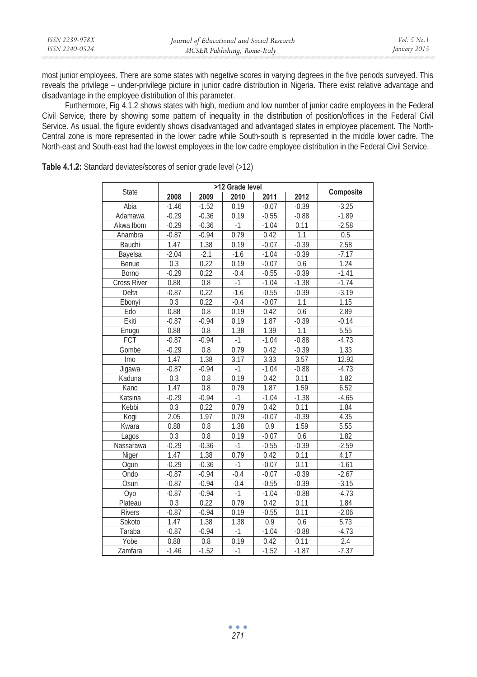| ISSN 2239-978X | Journal of Educational and Social Research | Vol. 5 No. 1 |
|----------------|--------------------------------------------|--------------|
| ISSN 2240-0524 | MCSER Publishing, Rome-Italy               | January 2015 |

most junior employees. There are some states with negetive scores in varying degrees in the five periods surveyed. This reveals the privilege – under-privilege picture in junior cadre distribution in Nigeria. There exist relative advantage and disadvantage in the employee distribution of this parameter.

 Furthermore, Fig 4.1.2 shows states with high, medium and low number of junior cadre employees in the Federal Civil Service, there by showing some pattern of inequality in the distribution of position/offices in the Federal Civil Service. As usual, the figure evidently shows disadvantaged and advantaged states in employee placement. The North-Central zone is more represented in the lower cadre while South-south is represented in the middle lower cadre. The North-east and South-east had the lowest employees in the low cadre employee distribution in the Federal Civil Service.

|                    | >12 Grade level |         |        |         |         |           |
|--------------------|-----------------|---------|--------|---------|---------|-----------|
| State              | 2008            | 2009    | 2010   | 2011    | 2012    | Composite |
| Abia               | $-1.46$         | $-1.52$ | 0.19   | $-0.07$ | $-0.39$ | $-3.25$   |
| Adamawa            | $-0.29$         | $-0.36$ | 0.19   | $-0.55$ | $-0.88$ | $-1.89$   |
| Akwa Ibom          | $-0.29$         | $-0.36$ | $-1$   | $-1.04$ | 0.11    | $-2.58$   |
| Anambra            | $-0.87$         | $-0.94$ | 0.79   | 0.42    | 1.1     | 0.5       |
| Bauchi             | 1.47            | 1.38    | 0.19   | $-0.07$ | $-0.39$ | 2.58      |
| Bayelsa            | $-2.04$         | $-2.1$  | $-1.6$ | $-1.04$ | $-0.39$ | $-7.17$   |
| Benue              | 0.3             | 0.22    | 0.19   | $-0.07$ | 0.6     | 1.24      |
| <b>Borno</b>       | $-0.29$         | 0.22    | $-0.4$ | $-0.55$ | $-0.39$ | $-1.41$   |
| <b>Cross River</b> | 0.88            | 0.8     | $-1$   | $-1.04$ | $-1.38$ | $-1.74$   |
| Delta              | $-0.87$         | 0.22    | $-1.6$ | $-0.55$ | $-0.39$ | $-3.19$   |
| Ebonyi             | 0.3             | 0.22    | $-0.4$ | $-0.07$ | 1.1     | 1.15      |
| Edo                | 0.88            | 0.8     | 0.19   | 0.42    | 0.6     | 2.89      |
| Ekiti              | $-0.87$         | $-0.94$ | 0.19   | 1.87    | $-0.39$ | $-0.14$   |
| Enugu              | 0.88            | 0.8     | 1.38   | 1.39    | 1.1     | 5.55      |
| <b>FCT</b>         | $-0.87$         | $-0.94$ | $-1$   | $-1.04$ | $-0.88$ | $-4.73$   |
| Gombe              | $-0.29$         | 0.8     | 0.79   | 0.42    | $-0.39$ | 1.33      |
| Imo                | 1.47            | 1.38    | 3.17   | 3.33    | 3.57    | 12.92     |
| Jigawa             | $-0.87$         | $-0.94$ | $-1$   | $-1.04$ | $-0.88$ | $-4.73$   |
| Kaduna             | 0.3             | 0.8     | 0.19   | 0.42    | 0.11    | 1.82      |
| Kano               | 1.47            | 0.8     | 0.79   | 1.87    | 1.59    | 6.52      |
| Katsina            | $-0.29$         | $-0.94$ | $-1$   | $-1.04$ | $-1.38$ | $-4.65$   |
| Kebbi              | 0.3             | 0.22    | 0.79   | 0.42    | 0.11    | 1.84      |
| Kogi               | 2.05            | 1.97    | 0.79   | $-0.07$ | $-0.39$ | 4.35      |
| Kwara              | 0.88            | 0.8     | 1.38   | 0.9     | 1.59    | 5.55      |
| Lagos              | 0.3             | 0.8     | 0.19   | $-0.07$ | 0.6     | 1.82      |
| Nassarawa          | $-0.29$         | $-0.36$ | $-1$   | $-0.55$ | $-0.39$ | $-2.59$   |
| Niger              | 1.47            | 1.38    | 0.79   | 0.42    | 0.11    | 4.17      |
| Ogun               | $-0.29$         | $-0.36$ | $-1$   | $-0.07$ | 0.11    | $-1.61$   |
| Ondo               | $-0.87$         | $-0.94$ | $-0.4$ | $-0.07$ | $-0.39$ | $-2.67$   |
| Osun               | $-0.87$         | $-0.94$ | $-0.4$ | $-0.55$ | $-0.39$ | $-3.15$   |
| Оуо                | $-0.87$         | $-0.94$ | $-1$   | $-1.04$ | $-0.88$ | $-4.73$   |
| Plateau            | 0.3             | 0.22    | 0.79   | 0.42    | 0.11    | 1.84      |
| <b>Rivers</b>      | $-0.87$         | $-0.94$ | 0.19   | $-0.55$ | 0.11    | $-2.06$   |
| Sokoto             | 1.47            | 1.38    | 1.38   | 0.9     | 0.6     | 5.73      |
| Taraba             | $-0.87$         | $-0.94$ | $-1$   | $-1.04$ | $-0.88$ | $-4.73$   |
| Yobe               | 0.88            | 0.8     | 0.19   | 0.42    | 0.11    | 2.4       |
| Zamfara            | $-1.46$         | $-1.52$ | $-1$   | $-1.52$ | $-1.87$ | $-7.37$   |

**Table 4.1.2:** Standard deviates/scores of senior grade level (>12)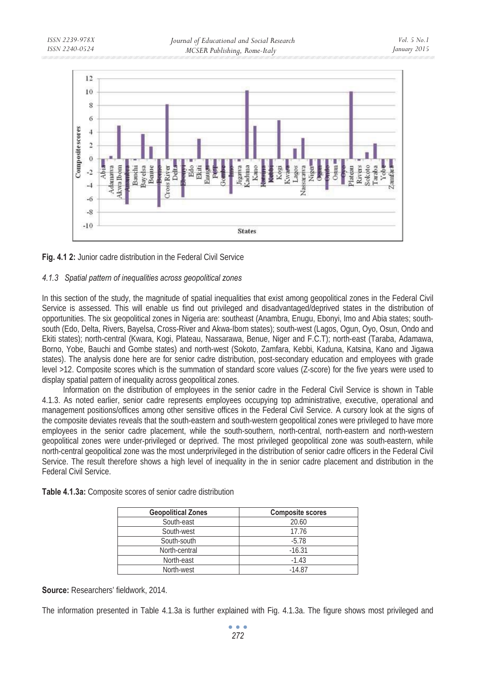



## *4.1.3 Spatial pattern of inequalities across geopolitical zones*

In this section of the study, the magnitude of spatial inequalities that exist among geopolitical zones in the Federal Civil Service is assessed. This will enable us find out privileged and disadvantaged/deprived states in the distribution of opportunities. The six geopolitical zones in Nigeria are: southeast (Anambra, Enugu, Ebonyi, Imo and Abia states; southsouth (Edo, Delta, Rivers, Bayelsa, Cross-River and Akwa-Ibom states); south-west (Lagos, Ogun, Oyo, Osun, Ondo and Ekiti states); north-central (Kwara, Kogi, Plateau, Nassarawa, Benue, Niger and F.C.T); north-east (Taraba, Adamawa, Borno, Yobe, Bauchi and Gombe states) and north-west (Sokoto, Zamfara, Kebbi, Kaduna, Katsina, Kano and Jigawa states). The analysis done here are for senior cadre distribution, post-secondary education and employees with grade level >12. Composite scores which is the summation of standard score values (Z-score) for the five years were used to display spatial pattern of inequality across geopolitical zones.

Information on the distribution of employees in the senior cadre in the Federal Civil Service is shown in Table 4.1.3. As noted earlier, senior cadre represents employees occupying top administrative, executive, operational and management positions/offices among other sensitive offices in the Federal Civil Service. A cursory look at the signs of the composite deviates reveals that the south-eastern and south-western geopolitical zones were privileged to have more employees in the senior cadre placement, while the south-southern, north-central, north-eastern and north-western geopolitical zones were under-privileged or deprived. The most privileged geopolitical zone was south-eastern, while north-central geopolitical zone was the most underprivileged in the distribution of senior cadre officers in the Federal Civil Service. The result therefore shows a high level of inequality in the in senior cadre placement and distribution in the Federal Civil Service.

| <b>Geopolitical Zones</b> | <b>Composite scores</b> |
|---------------------------|-------------------------|
| South-east                | 20.60                   |
| South-west                | 17.76                   |
| South-south               | $-5.78$                 |
| North-central             | $-16.31$                |
| North-east                | $-1.43$                 |
| North-west                | $-14.87$                |

**Table 4.1.3a:** Composite scores of senior cadre distribution

**Source:** Researchers' fieldwork, 2014.

The information presented in Table 4.1.3a is further explained with Fig. 4.1.3a. The figure shows most privileged and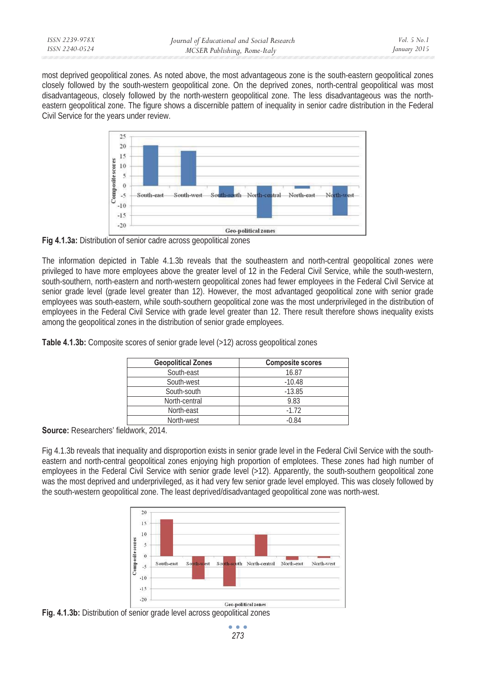most deprived geopolitical zones. As noted above, the most advantageous zone is the south-eastern geopolitical zones closely followed by the south-western geopolitical zone. On the deprived zones, north-central geopolitical was most disadvantageous, closely followed by the north-western geopolitical zone. The less disadvantageous was the northeastern geopolitical zone. The figure shows a discernible pattern of inequality in senior cadre distribution in the Federal Civil Service for the years under review.



**Fig 4.1.3a:** Distribution of senior cadre across geopolitical zones

The information depicted in Table 4.1.3b reveals that the southeastern and north-central geopolitical zones were privileged to have more employees above the greater level of 12 in the Federal Civil Service, while the south-western, south-southern, north-eastern and north-western geopolitical zones had fewer employees in the Federal Civil Service at senior grade level (grade level greater than 12). However, the most advantaged geopolitical zone with senior grade employees was south-eastern, while south-southern geopolitical zone was the most underprivileged in the distribution of employees in the Federal Civil Service with grade level greater than 12. There result therefore shows inequality exists among the geopolitical zones in the distribution of senior grade employees.

| <b>Geopolitical Zones</b> | <b>Composite scores</b> |
|---------------------------|-------------------------|
| South-east                | 16.87                   |
| South-west                | $-10.48$                |
| South-south               | $-13.85$                |
| North-central             | 9.83                    |
| North-east                | $-1.72$                 |
| North-west                | $-0.84$                 |

Table 4.1.3b: Composite scores of senior grade level (>12) across geopolitical zones

**Source:** Researchers' fieldwork, 2014.

Fig 4.1.3b reveals that inequality and disproportion exists in senior grade level in the Federal Civil Service with the southeastern and north-central geopolitical zones enjoying high proportion of emplotees. These zones had high number of employees in the Federal Civil Service with senior grade level (>12). Apparently, the south-southern geopolitical zone was the most deprived and underprivileged, as it had very few senior grade level employed. This was closely followed by the south-western geopolitical zone. The least deprived/disadvantaged geopolitical zone was north-west.



**Fig. 4.1.3b:** Distribution of senior grade level across geopolitical zones

 $\bullet$   $\bullet$   $\bullet$ *273*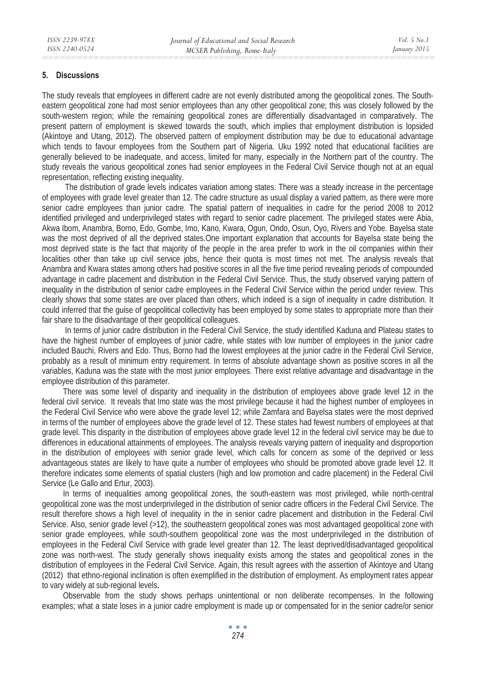#### **5. Discussions**

The study reveals that employees in different cadre are not evenly distributed among the geopolitical zones. The Southeastern geopolitical zone had most senior employees than any other geopolitical zone; this was closely followed by the south-western region; while the remaining geopolitical zones are differentially disadvantaged in comparatively. The present pattern of employment is skewed towards the south, which implies that employment distribution is lopsided (Akintoye and Utang, 2012). The observed pattern of employment distribution may be due to educational advantage which tends to favour employees from the Southern part of Nigeria. Uku 1992 noted that educational facilities are generally believed to be inadequate, and access, limited for many, especially in the Northern part of the country. The study reveals the various geopolitical zones had senior employees in the Federal Civil Service though not at an equal representation, reflecting existing inequality.

 The distribution of grade levels indicates variation among states. There was a steady increase in the percentage of employees with grade level greater than 12. The cadre structure as usual display a varied pattern, as there were more senior cadre employees than junior cadre. The spatial pattern of inequalities in cadre for the period 2008 to 2012 identified privileged and underprivileged states with regard to senior cadre placement. The privileged states were Abia, Akwa Ibom, Anambra, Borno, Edo, Gombe, Imo, Kano, Kwara, Ogun, Ondo, Osun, Oyo, Rivers and Yobe. Bayelsa state was the most deprived of all the deprived states.One important explanation that accounts for Bayelsa state being the most deprived state is the fact that majority of the people in the area prefer to work in the oil companies within their localities other than take up civil service jobs, hence their quota is most times not met. The analysis reveals that Anambra and Kwara states among others had positive scores in all the five time period revealing periods of compounded advantage in cadre placement and distribution in the Federal Civil Service. Thus, the study observed varying pattern of inequality in the distribution of senior cadre employees in the Federal Civil Service within the period under review. This clearly shows that some states are over placed than others, which indeed is a sign of inequality in cadre distribution. It could inferred that the guise of geopolitical collectivity has been employed by some states to appropriate more than their fair share to the disadvantage of their geopolitical colleagues.

In terms of junior cadre distribution in the Federal Civil Service, the study identified Kaduna and Plateau states to have the highest number of employees of junior cadre, while states with low number of employees in the junior cadre included Bauchi, Rivers and Edo. Thus, Borno had the lowest employees at the junior cadre in the Federal Civil Service, probably as a result of minimum entry requirement. In terms of absolute advantage shown as positive scores in all the variables, Kaduna was the state with the most junior employees. There exist relative advantage and disadvantage in the employee distribution of this parameter.

There was some level of disparity and inequality in the distribution of employees above grade level 12 in the federal civil service. It reveals that Imo state was the most privilege because it had the highest number of employees in the Federal Civil Service who were above the grade level 12; while Zamfara and Bayelsa states were the most deprived in terms of the number of employees above the grade level of 12. These states had fewest numbers of employees at that grade level. This disparity in the distribution of employees above grade level 12 in the federal civil service may be due to differences in educational attainments of employees. The analysis reveals varying pattern of inequality and disproportion in the distribution of employees with senior grade level, which calls for concern as some of the deprived or less advantageous states are likely to have quite a number of employees who should be promoted above grade level 12. It therefore indicates some elements of spatial clusters (high and low promotion and cadre placement) in the Federal Civil Service (Le Gallo and Ertur, 2003).

In terms of inequalities among geopolitical zones, the south-eastern was most privileged, while north-central geopolitical zone was the most underprivileged in the distribution of senior cadre officers in the Federal Civil Service. The result therefore shows a high level of inequality in the in senior cadre placement and distribution in the Federal Civil Service. Also, senior grade level (>12), the southeastern geopolitical zones was most advantaged geopolitical zone with senior grade employees, while south-southern geopolitical zone was the most underprivileged in the distribution of employees in the Federal Civil Service with grade level greater than 12. The least deprived/disadvantaged geopolitical zone was north-west. The study generally shows inequality exists among the states and geopolitical zones in the distribution of employees in the Federal Civil Service. Again, this result agrees with the assertion of Akintoye and Utang (2012) that ethno-regional inclination is often exemplified in the distribution of employment. As employment rates appear to vary widely at sub-regional levels**.** 

Observable from the study shows perhaps unintentional or non deliberate recompenses. In the following examples; what a state loses in a junior cadre employment is made up or compensated for in the senior cadre/or senior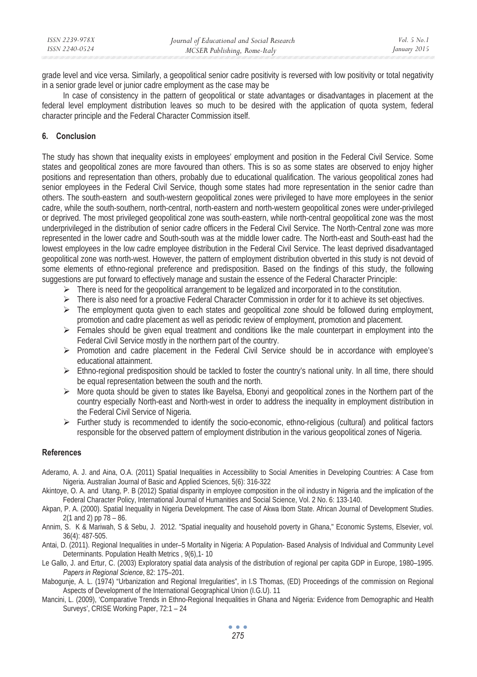grade level and vice versa. Similarly, a geopolitical senior cadre positivity is reversed with low positivity or total negativity in a senior grade level or junior cadre employment as the case may be

In case of consistency in the pattern of geopolitical or state advantages or disadvantages in placement at the federal level employment distribution leaves so much to be desired with the application of quota system, federal character principle and the Federal Character Commission itself.

# **6. Conclusion**

The study has shown that inequality exists in employees' employment and position in the Federal Civil Service. Some states and geopolitical zones are more favoured than others. This is so as some states are observed to enjoy higher positions and representation than others, probably due to educational qualification. The various geopolitical zones had senior employees in the Federal Civil Service, though some states had more representation in the senior cadre than others. The south-eastern and south-western geopolitical zones were privileged to have more employees in the senior cadre, while the south-southern, north-central, north-eastern and north-western geopolitical zones were under-privileged or deprived. The most privileged geopolitical zone was south-eastern, while north-central geopolitical zone was the most underprivileged in the distribution of senior cadre officers in the Federal Civil Service. The North-Central zone was more represented in the lower cadre and South-south was at the middle lower cadre. The North-east and South-east had the lowest employees in the low cadre employee distribution in the Federal Civil Service. The least deprived disadvantaged geopolitical zone was north-west. However, the pattern of employment distribution obverted in this study is not devoid of some elements of ethno-regional preference and predisposition. Based on the findings of this study, the following suggestions are put forward to effectively manage and sustain the essence of the Federal Character Principle:

- $\triangleright$  There is need for the geopolitical arrangement to be legalized and incorporated in to the constitution.
- $\triangleright$  There is also need for a proactive Federal Character Commission in order for it to achieve its set objectives.
- $\triangleright$  The employment quota given to each states and geopolitical zone should be followed during employment, promotion and cadre placement as well as periodic review of employment, promotion and placement.
- $\triangleright$  Females should be given equal treatment and conditions like the male counterpart in employment into the Federal Civil Service mostly in the northern part of the country.
- $\triangleright$  Promotion and cadre placement in the Federal Civil Service should be in accordance with employee's educational attainment.
- $\triangleright$  Ethno-regional predisposition should be tackled to foster the country's national unity. In all time, there should be equal representation between the south and the north.
- ¾ More quota should be given to states like Bayelsa, Ebonyi and geopolitical zones in the Northern part of the country especially North-east and North-west in order to address the inequality in employment distribution in the Federal Civil Service of Nigeria.
- $\triangleright$  Further study is recommended to identify the socio-economic, ethno-religious (cultural) and political factors responsible for the observed pattern of employment distribution in the various geopolitical zones of Nigeria.

## **References**

- Aderamo, A. J. and Aina, O.A. (2011) Spatial Inequalities in Accessibility to Social Amenities in Developing Countries: A Case from Nigeria. Australian Journal of Basic and Applied Sciences, 5(6): 316-322
- Akintoye, O. A. and Utang, P. B (2012) Spatial disparity in employee composition in the oil industry in Nigeria and the implication of the Federal Character Policy, International Journal of Humanities and Social Science, Vol. 2 No. 6: 133-140.
- Akpan, P. A. (2000). Spatial Inequality in Nigeria Development. The case of Akwa Ibom State. African Journal of Development Studies. 2(1 and 2) pp 78 – 86.
- Annim, S. K & Mariwah, S & Sebu, J. 2012. "Spatial inequality and household poverty in Ghana," Economic Systems, Elsevier, vol. 36(4): 487-505.
- Antai, D. (2011). Regional Inequalities in under–5 Mortality in Nigeria: A Population- Based Analysis of Individual and Community Level Determinants. Population Health Metrics , 9(6),1- 10
- Le Gallo, J. and Ertur, C. (2003) Exploratory spatial data analysis of the distribution of regional per capita GDP in Europe, 1980–1995. *Papers in Regional Science*, 82: 175–201.
- Mabogunje, A. L. (1974) "Urbanization and Regional Irregularities", in I.S Thomas, (ED) Proceedings of the commission on Regional Aspects of Development of the International Geographical Union (I.G.U). 11
- Mancini, L. (2009), 'Comparative Trends in Ethno-Regional Inequalities in Ghana and Nigeria: Evidence from Demographic and Health Surveys', CRISE Working Paper, 72:1 – 24